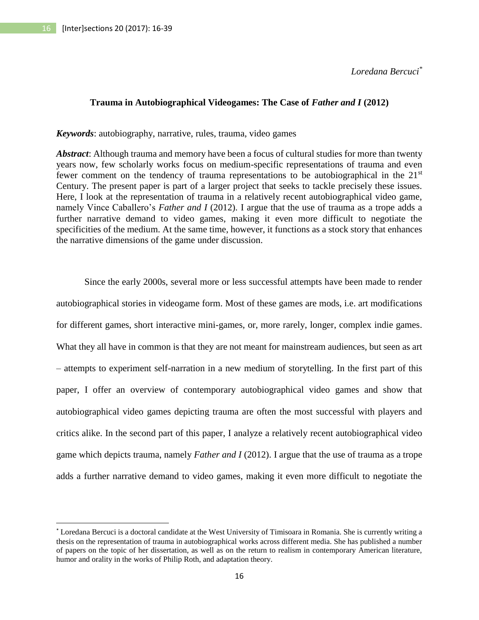$\overline{a}$ 

*Loredana Bercuci\**

# **Trauma in Autobiographical Videogames: The Case of** *Father and I* **(2012)**

*Keywords*: autobiography, narrative, rules, trauma, video games

*Abstract*: Although trauma and memory have been a focus of cultural studies for more than twenty years now, few scholarly works focus on medium-specific representations of trauma and even fewer comment on the tendency of trauma representations to be autobiographical in the 21<sup>st</sup> Century. The present paper is part of a larger project that seeks to tackle precisely these issues. Here, I look at the representation of trauma in a relatively recent autobiographical video game, namely Vince Caballero's *Father and I* (2012). I argue that the use of trauma as a trope adds a further narrative demand to video games, making it even more difficult to negotiate the specificities of the medium. At the same time, however, it functions as a stock story that enhances the narrative dimensions of the game under discussion.

Since the early 2000s, several more or less successful attempts have been made to render autobiographical stories in videogame form. Most of these games are mods, i.e. art modifications for different games, short interactive mini-games, or, more rarely, longer, complex indie games. What they all have in common is that they are not meant for mainstream audiences, but seen as art – attempts to experiment self-narration in a new medium of storytelling. In the first part of this paper, I offer an overview of contemporary autobiographical video games and show that autobiographical video games depicting trauma are often the most successful with players and critics alike. In the second part of this paper, I analyze a relatively recent autobiographical video game which depicts trauma, namely *Father and I* (2012). I argue that the use of trauma as a trope adds a further narrative demand to video games, making it even more difficult to negotiate the

<sup>\*</sup> Loredana Bercuci is a doctoral candidate at the West University of Timisoara in Romania. She is currently writing a thesis on the representation of trauma in autobiographical works across different media. She has published a number of papers on the topic of her dissertation, as well as on the return to realism in contemporary American literature, humor and orality in the works of Philip Roth, and adaptation theory.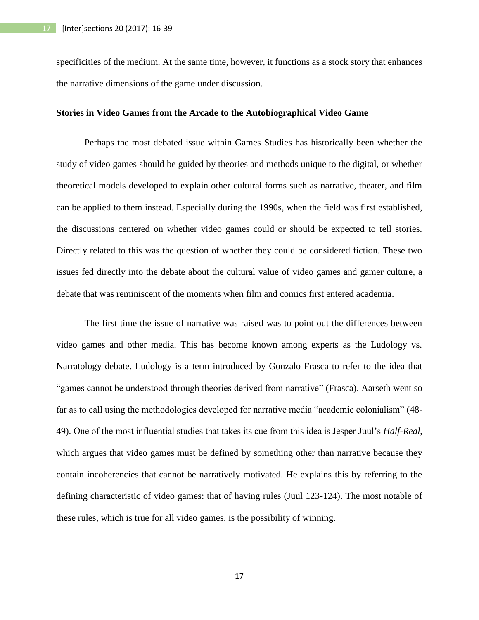specificities of the medium. At the same time, however, it functions as a stock story that enhances the narrative dimensions of the game under discussion.

### **Stories in Video Games from the Arcade to the Autobiographical Video Game**

Perhaps the most debated issue within Games Studies has historically been whether the study of video games should be guided by theories and methods unique to the digital, or whether theoretical models developed to explain other cultural forms such as narrative, theater, and film can be applied to them instead. Especially during the 1990s, when the field was first established, the discussions centered on whether video games could or should be expected to tell stories. Directly related to this was the question of whether they could be considered fiction. These two issues fed directly into the debate about the cultural value of video games and gamer culture, a debate that was reminiscent of the moments when film and comics first entered academia.

The first time the issue of narrative was raised was to point out the differences between video games and other media. This has become known among experts as the Ludology vs. Narratology debate. Ludology is a term introduced by Gonzalo Frasca to refer to the idea that "games cannot be understood through theories derived from narrative" (Frasca). Aarseth went so far as to call using the methodologies developed for narrative media "academic colonialism" (48- 49). One of the most influential studies that takes its cue from this idea is Jesper Juul's *Half-Real*, which argues that video games must be defined by something other than narrative because they contain incoherencies that cannot be narratively motivated. He explains this by referring to the defining characteristic of video games: that of having rules (Juul 123-124). The most notable of these rules, which is true for all video games, is the possibility of winning.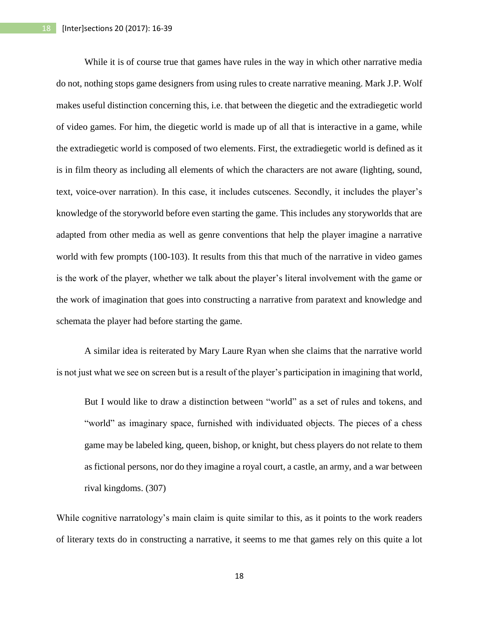While it is of course true that games have rules in the way in which other narrative media do not, nothing stops game designers from using rules to create narrative meaning. Mark J.P. Wolf makes useful distinction concerning this, i.e. that between the diegetic and the extradiegetic world of video games. For him, the diegetic world is made up of all that is interactive in a game, while the extradiegetic world is composed of two elements. First, the extradiegetic world is defined as it is in film theory as including all elements of which the characters are not aware (lighting, sound, text, voice-over narration). In this case, it includes cutscenes. Secondly, it includes the player's knowledge of the storyworld before even starting the game. This includes any storyworlds that are adapted from other media as well as genre conventions that help the player imagine a narrative world with few prompts (100-103). It results from this that much of the narrative in video games is the work of the player, whether we talk about the player's literal involvement with the game or the work of imagination that goes into constructing a narrative from paratext and knowledge and schemata the player had before starting the game.

A similar idea is reiterated by Mary Laure Ryan when she claims that the narrative world is not just what we see on screen but is a result of the player's participation in imagining that world,

But I would like to draw a distinction between "world" as a set of rules and tokens, and "world" as imaginary space, furnished with individuated objects. The pieces of a chess game may be labeled king, queen, bishop, or knight, but chess players do not relate to them as fictional persons, nor do they imagine a royal court, a castle, an army, and a war between rival kingdoms. (307)

While cognitive narratology's main claim is quite similar to this, as it points to the work readers of literary texts do in constructing a narrative, it seems to me that games rely on this quite a lot

18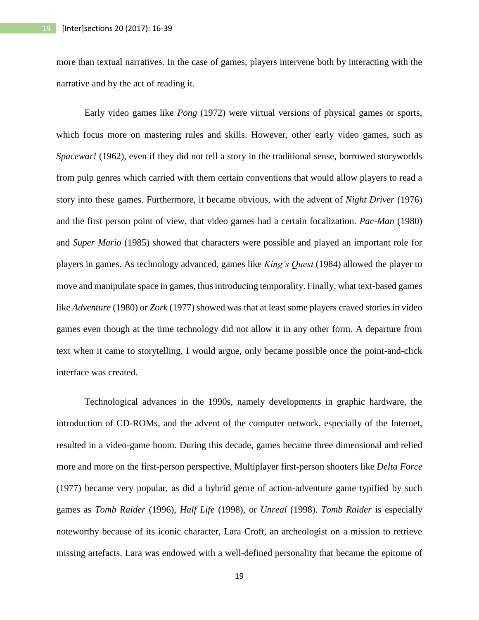more than textual narratives. In the case of games, players intervene both by interacting with the narrative and by the act of reading it.

Early video games like *Pong* (1972) were virtual versions of physical games or sports, which focus more on mastering rules and skills. However, other early video games, such as *Spacewar!* (1962)*,* even if they did not tell a story in the traditional sense, borrowed storyworlds from pulp genres which carried with them certain conventions that would allow players to read a story into these games. Furthermore, it became obvious, with the advent of *Night Driver* (1976) and the first person point of view, that video games had a certain focalization. *Pac-Man* (1980) and *Super Mario* (1985) showed that characters were possible and played an important role for players in games. As technology advanced, games like *King's Quest* (1984) allowed the player to move and manipulate space in games, thus introducing temporality. Finally, what text-based games like *Adventure* (1980) or *Zork* (1977) showed was that at least some players craved stories in video games even though at the time technology did not allow it in any other form. A departure from text when it came to storytelling, I would argue, only became possible once the point-and-click interface was created.

Technological advances in the 1990s, namely developments in graphic hardware, the introduction of CD-ROMs, and the advent of the computer network, especially of the Internet, resulted in a video-game boom. During this decade, games became three dimensional and relied more and more on the first-person perspective. Multiplayer first-person shooters like *Delta Force* (1977) became very popular, as did a hybrid genre of action-adventure game typified by such games as *Tomb Raider* (1996), *Half Life* (1998), or *Unreal* (1998). *Tomb Raider* is especially noteworthy because of its iconic character, Lara Croft, an archeologist on a mission to retrieve missing artefacts. Lara was endowed with a well-defined personality that became the epitome of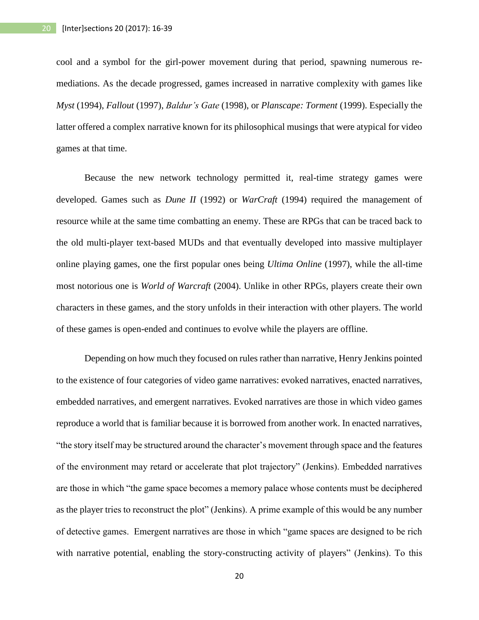cool and a symbol for the girl-power movement during that period, spawning numerous remediations. As the decade progressed, games increased in narrative complexity with games like *Myst* (1994), *Fallout* (1997), *Baldur's Gate* (1998), or *Planscape: Torment* (1999). Especially the latter offered a complex narrative known for its philosophical musings that were atypical for video games at that time.

Because the new network technology permitted it, real-time strategy games were developed. Games such as *Dune II* (1992) or *WarCraft* (1994) required the management of resource while at the same time combatting an enemy. These are RPGs that can be traced back to the old multi-player text-based MUDs and that eventually developed into massive multiplayer online playing games, one the first popular ones being *Ultima Online* (1997), while the all-time most notorious one is *World of Warcraft* (2004). Unlike in other RPGs, players create their own characters in these games, and the story unfolds in their interaction with other players. The world of these games is open-ended and continues to evolve while the players are offline.

Depending on how much they focused on rules rather than narrative, Henry Jenkins pointed to the existence of four categories of video game narratives: evoked narratives, enacted narratives, embedded narratives, and emergent narratives. Evoked narratives are those in which video games reproduce a world that is familiar because it is borrowed from another work. In enacted narratives, "the story itself may be structured around the character's movement through space and the features of the environment may retard or accelerate that plot trajectory" (Jenkins). Embedded narratives are those in which "the game space becomes a memory palace whose contents must be deciphered as the player tries to reconstruct the plot" (Jenkins). A prime example of this would be any number of detective games. Emergent narratives are those in which "game spaces are designed to be rich with narrative potential, enabling the story-constructing activity of players" (Jenkins). To this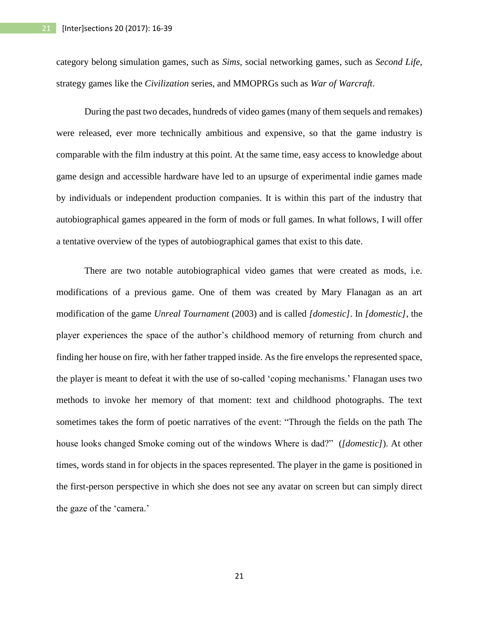category belong simulation games, such as *Sims*, social networking games, such as *Second Life*, strategy games like the *Civilization* series, and MMOPRGs such as *War of Warcraft*.

During the past two decades, hundreds of video games (many of them sequels and remakes) were released, ever more technically ambitious and expensive, so that the game industry is comparable with the film industry at this point. At the same time, easy access to knowledge about game design and accessible hardware have led to an upsurge of experimental indie games made by individuals or independent production companies. It is within this part of the industry that autobiographical games appeared in the form of mods or full games. In what follows, I will offer a tentative overview of the types of autobiographical games that exist to this date.

There are two notable autobiographical video games that were created as mods, i.e. modifications of a previous game. One of them was created by Mary Flanagan as an art modification of the game *Unreal Tournament* (2003) and is called *[domestic]*. In *[domestic]*, the player experiences the space of the author's childhood memory of returning from church and finding her house on fire, with her father trapped inside. As the fire envelops the represented space, the player is meant to defeat it with the use of so-called 'coping mechanisms.' Flanagan uses two methods to invoke her memory of that moment: text and childhood photographs. The text sometimes takes the form of poetic narratives of the event: "Through the fields on the path The house looks changed Smoke coming out of the windows Where is dad?" (*[domestic]*). At other times, words stand in for objects in the spaces represented. The player in the game is positioned in the first-person perspective in which she does not see any avatar on screen but can simply direct the gaze of the 'camera.'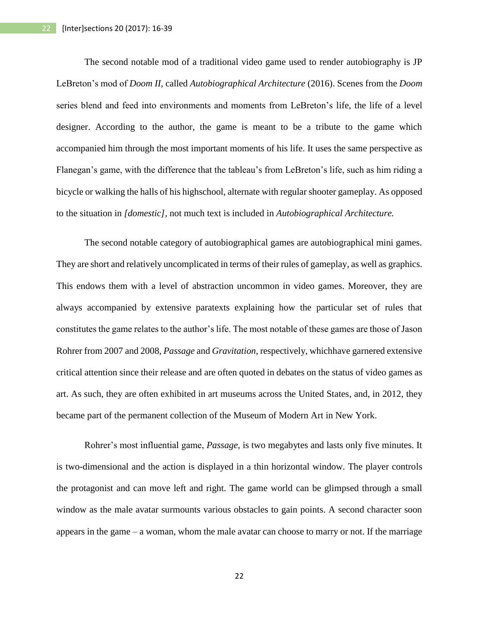The second notable mod of a traditional video game used to render autobiography is JP LeBreton's mod of *Doom II,* called *Autobiographical Architecture* (2016). Scenes from the *Doom* series blend and feed into environments and moments from LeBreton's life, the life of a level designer. According to the author, the game is meant to be a tribute to the game which accompanied him through the most important moments of his life. It uses the same perspective as Flanegan's game, with the difference that the tableau's from LeBreton's life, such as him riding a bicycle or walking the halls of his highschool, alternate with regular shooter gameplay. As opposed to the situation in *[domestic]*, not much text is included in *Autobiographical Architecture.* 

The second notable category of autobiographical games are autobiographical mini games. They are short and relatively uncomplicated in terms of their rules of gameplay, as well as graphics. This endows them with a level of abstraction uncommon in video games. Moreover, they are always accompanied by extensive paratexts explaining how the particular set of rules that constitutes the game relates to the author's life. The most notable of these games are those of Jason Rohrer from 2007 and 2008, *Passage* and *Gravitation*, respectively, whichhave garnered extensive critical attention since their release and are often quoted in debates on the status of video games as art. As such, they are often exhibited in art museums across the United States, and, in 2012, they became part of the permanent collection of the Museum of Modern Art in New York.

Rohrer's most influential game, *Passage*, is two megabytes and lasts only five minutes. It is two-dimensional and the action is displayed in a thin horizontal window. The player controls the protagonist and can move left and right. The game world can be glimpsed through a small window as the male avatar surmounts various obstacles to gain points. A second character soon appears in the game – a woman, whom the male avatar can choose to marry or not. If the marriage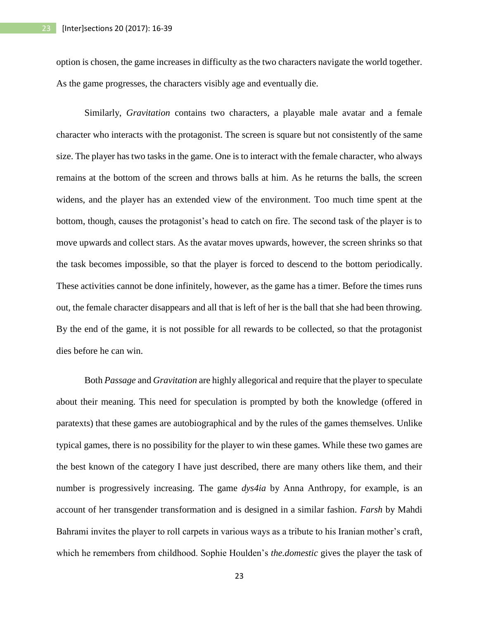option is chosen, the game increases in difficulty as the two characters navigate the world together. As the game progresses, the characters visibly age and eventually die.

Similarly, *Gravitation* contains two characters, a playable male avatar and a female character who interacts with the protagonist. The screen is square but not consistently of the same size. The player has two tasks in the game. One is to interact with the female character, who always remains at the bottom of the screen and throws balls at him. As he returns the balls, the screen widens, and the player has an extended view of the environment. Too much time spent at the bottom, though, causes the protagonist's head to catch on fire. The second task of the player is to move upwards and collect stars. As the avatar moves upwards, however, the screen shrinks so that the task becomes impossible, so that the player is forced to descend to the bottom periodically. These activities cannot be done infinitely, however, as the game has a timer. Before the times runs out, the female character disappears and all that is left of her is the ball that she had been throwing. By the end of the game, it is not possible for all rewards to be collected, so that the protagonist dies before he can win.

Both *Passage* and *Gravitation* are highly allegorical and require that the player to speculate about their meaning. This need for speculation is prompted by both the knowledge (offered in paratexts) that these games are autobiographical and by the rules of the games themselves. Unlike typical games, there is no possibility for the player to win these games. While these two games are the best known of the category I have just described, there are many others like them, and their number is progressively increasing. The game *dys4ia* by Anna Anthropy, for example, is an account of her transgender transformation and is designed in a similar fashion. *Farsh* by Mahdi Bahrami invites the player to roll carpets in various ways as a tribute to his Iranian mother's craft, which he remembers from childhood. Sophie Houlden's *the.domestic* gives the player the task of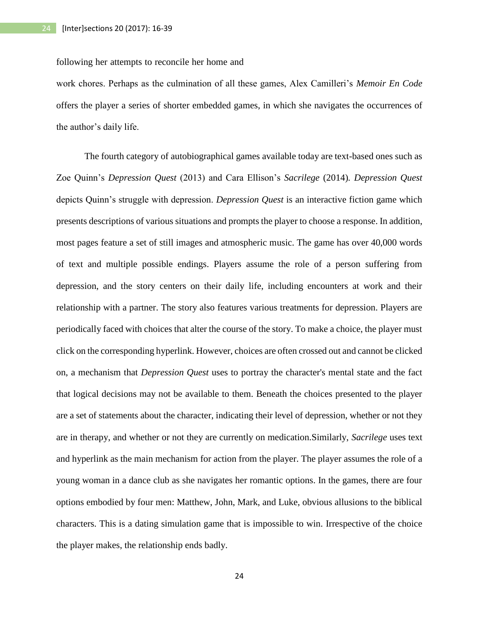following her attempts to reconcile her home and

work chores. Perhaps as the culmination of all these games, Alex Camilleri's *Memoir En Code*  offers the player a series of shorter embedded games, in which she navigates the occurrences of the author's daily life.

The fourth category of autobiographical games available today are text-based ones such as Zoe Quinn's *Depression Quest* (2013) and Cara Ellison's *Sacrilege* (2014)*. Depression Quest*  depicts Quinn's struggle with depression. *Depression Quest* is an interactive fiction game which presents descriptions of various situations and prompts the player to choose a response. In addition, most pages feature a set of still images and atmospheric music. The game has over 40,000 words of text and multiple possible endings. Players assume the role of a person suffering from depression, and the story centers on their daily life, including encounters at work and their relationship with a partner. The story also features various treatments for depression. Players are periodically faced with choices that alter the course of the story. To make a choice, the player must click on the corresponding hyperlink. However, choices are often crossed out and cannot be clicked on, a mechanism that *Depression Quest* uses to portray the character's mental state and the fact that logical decisions may not be available to them. Beneath the choices presented to the player are a set of statements about the character, indicating their level of depression, whether or not they are in therapy, and whether or not they are currently on medication.Similarly, *Sacrilege* uses text and hyperlink as the main mechanism for action from the player. The player assumes the role of a young woman in a dance club as she navigates her romantic options. In the games, there are four options embodied by four men: Matthew, John, Mark, and Luke, obvious allusions to the biblical characters. This is a dating simulation game that is impossible to win. Irrespective of the choice the player makes, the relationship ends badly.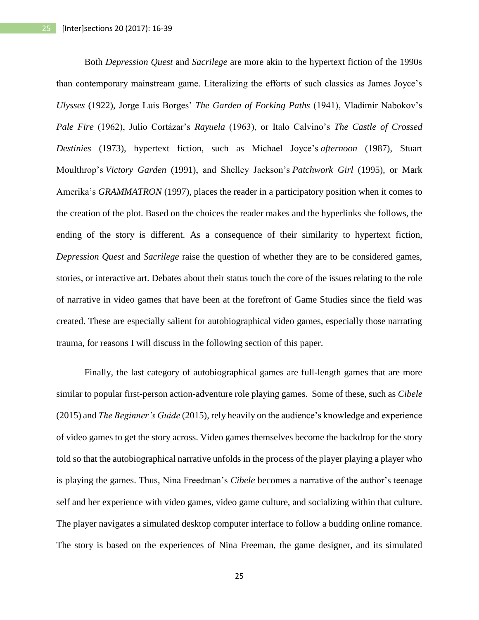Both *Depression Quest* and *Sacrilege* are more akin to the hypertext fiction of the 1990s than contemporary mainstream game. Literalizing the efforts of such classics as James Joyce's *Ulysses* (1922), Jorge Luis Borges' *The Garden of Forking Paths* (1941), Vladimir Nabokov's *Pale Fire* (1962), Julio Cortázar's *Rayuela* (1963), or Italo Calvino's *The Castle of Crossed Destinies* (1973), hypertext fiction, such as Michael Joyce's *afternoon* (1987), Stuart Moulthrop's *Victory Garden* (1991), and Shelley Jackson's *Patchwork Girl* (1995)*,* or Mark Amerika's *GRAMMATRON* (1997), places the reader in a participatory position when it comes to the creation of the plot. Based on the choices the reader makes and the hyperlinks she follows, the ending of the story is different. As a consequence of their similarity to hypertext fiction, *Depression Quest* and *Sacrilege* raise the question of whether they are to be considered games, stories, or interactive art. Debates about their status touch the core of the issues relating to the role of narrative in video games that have been at the forefront of Game Studies since the field was created. These are especially salient for autobiographical video games, especially those narrating trauma, for reasons I will discuss in the following section of this paper.

Finally, the last category of autobiographical games are full-length games that are more similar to popular first-person action-adventure role playing games. Some of these, such as *Cibele* (2015) and *The Beginner's Guide* (2015), rely heavily on the audience's knowledge and experience of video games to get the story across. Video games themselves become the backdrop for the story told so that the autobiographical narrative unfolds in the process of the player playing a player who is playing the games. Thus, Nina Freedman's *Cibele* becomes a narrative of the author's teenage self and her experience with video games, video game culture, and socializing within that culture. The player navigates a simulated desktop computer interface to follow a budding online romance. The story is based on the experiences of Nina Freeman, the game designer, and its simulated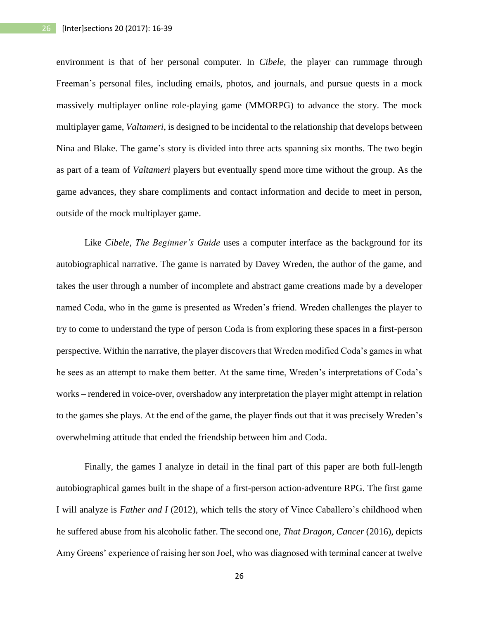environment is that of her personal computer. In *Cibele*, the player can rummage through Freeman's personal files, including emails, photos, and journals, and pursue quests in a mock massively multiplayer online role-playing game (MMORPG) to advance the story. The mock multiplayer game, *Valtameri*, is designed to be incidental to the relationship that develops between Nina and Blake. The game's story is divided into three acts spanning six months. The two begin as part of a team of *Valtameri* players but eventually spend more time without the group. As the game advances, they share compliments and contact information and decide to meet in person, outside of the mock multiplayer game.

Like *Cibele*, *The Beginner's Guide* uses a computer interface as the background for its autobiographical narrative. The game is narrated by Davey Wreden, the author of the game, and takes the user through a number of incomplete and abstract game creations made by a developer named Coda, who in the game is presented as Wreden's friend. Wreden challenges the player to try to come to understand the type of person Coda is from exploring these spaces in a first-person perspective. Within the narrative, the player discovers that Wreden modified Coda's games in what he sees as an attempt to make them better. At the same time, Wreden's interpretations of Coda's works – rendered in voice-over, overshadow any interpretation the player might attempt in relation to the games she plays. At the end of the game, the player finds out that it was precisely Wreden's overwhelming attitude that ended the friendship between him and Coda.

Finally, the games I analyze in detail in the final part of this paper are both full-length autobiographical games built in the shape of a first-person action-adventure RPG. The first game I will analyze is *Father and I* (2012), which tells the story of Vince Caballero's childhood when he suffered abuse from his alcoholic father. The second one, *That Dragon, Cancer* (2016), depicts Amy Greens' experience of raising her son Joel, who was diagnosed with terminal cancer at twelve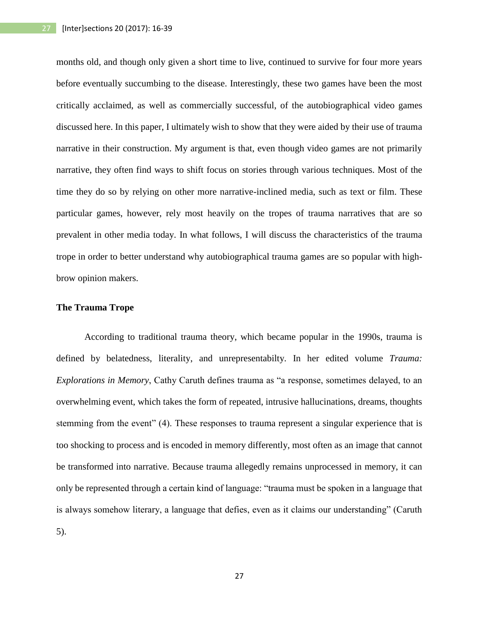months old, and though only given a short time to live, continued to survive for four more years before eventually succumbing to the disease. Interestingly, these two games have been the most critically acclaimed, as well as commercially successful, of the autobiographical video games discussed here. In this paper, I ultimately wish to show that they were aided by their use of trauma narrative in their construction. My argument is that, even though video games are not primarily narrative, they often find ways to shift focus on stories through various techniques. Most of the time they do so by relying on other more narrative-inclined media, such as text or film. These particular games, however, rely most heavily on the tropes of trauma narratives that are so prevalent in other media today. In what follows, I will discuss the characteristics of the trauma trope in order to better understand why autobiographical trauma games are so popular with highbrow opinion makers.

## **The Trauma Trope**

According to traditional trauma theory, which became popular in the 1990s, trauma is defined by belatedness, literality, and unrepresentabilty. In her edited volume *Trauma: Explorations in Memory*, Cathy Caruth defines trauma as "a response, sometimes delayed, to an overwhelming event, which takes the form of repeated, intrusive hallucinations, dreams, thoughts stemming from the event" (4). These responses to trauma represent a singular experience that is too shocking to process and is encoded in memory differently, most often as an image that cannot be transformed into narrative. Because trauma allegedly remains unprocessed in memory, it can only be represented through a certain kind of language: "trauma must be spoken in a language that is always somehow literary, a language that defies, even as it claims our understanding" (Caruth 5).

27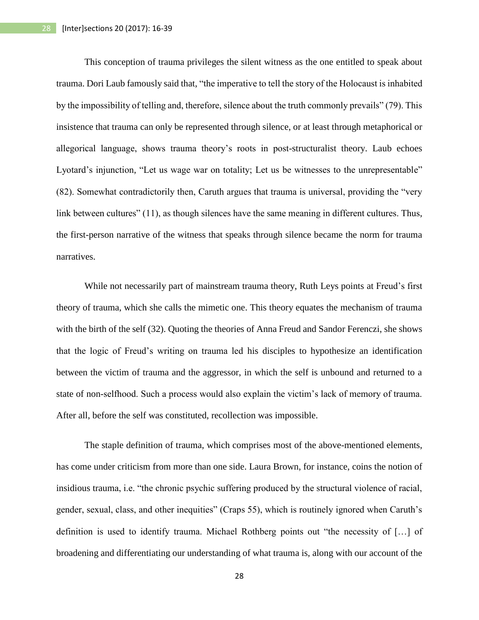This conception of trauma privileges the silent witness as the one entitled to speak about trauma. Dori Laub famously said that, "the imperative to tell the story of the Holocaust is inhabited by the impossibility of telling and, therefore, silence about the truth commonly prevails" (79). This insistence that trauma can only be represented through silence, or at least through metaphorical or allegorical language, shows trauma theory's roots in post-structuralist theory. Laub echoes Lyotard's injunction, "Let us wage war on totality; Let us be witnesses to the unrepresentable" (82). Somewhat contradictorily then, Caruth argues that trauma is universal, providing the "very link between cultures" (11), as though silences have the same meaning in different cultures. Thus, the first-person narrative of the witness that speaks through silence became the norm for trauma narratives.

While not necessarily part of mainstream trauma theory, Ruth Leys points at Freud's first theory of trauma, which she calls the mimetic one. This theory equates the mechanism of trauma with the birth of the self (32). Quoting the theories of Anna Freud and Sandor Ferenczi, she shows that the logic of Freud's writing on trauma led his disciples to hypothesize an identification between the victim of trauma and the aggressor, in which the self is unbound and returned to a state of non-selfhood. Such a process would also explain the victim's lack of memory of trauma. After all, before the self was constituted, recollection was impossible.

The staple definition of trauma, which comprises most of the above-mentioned elements, has come under criticism from more than one side. Laura Brown, for instance, coins the notion of insidious trauma, i.e. "the chronic psychic suffering produced by the structural violence of racial, gender, sexual, class, and other inequities" (Craps 55), which is routinely ignored when Caruth's definition is used to identify trauma. Michael Rothberg points out "the necessity of […] of broadening and differentiating our understanding of what trauma is, along with our account of the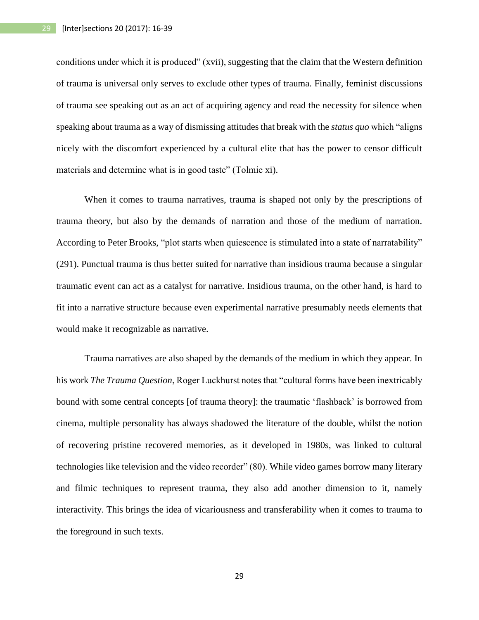conditions under which it is produced" (xvii), suggesting that the claim that the Western definition of trauma is universal only serves to exclude other types of trauma. Finally, feminist discussions of trauma see speaking out as an act of acquiring agency and read the necessity for silence when speaking about trauma as a way of dismissing attitudes that break with the *status quo* which "aligns nicely with the discomfort experienced by a cultural elite that has the power to censor difficult materials and determine what is in good taste" (Tolmie xi).

When it comes to trauma narratives, trauma is shaped not only by the prescriptions of trauma theory, but also by the demands of narration and those of the medium of narration. According to Peter Brooks, "plot starts when quiescence is stimulated into a state of narratability" (291). Punctual trauma is thus better suited for narrative than insidious trauma because a singular traumatic event can act as a catalyst for narrative. Insidious trauma, on the other hand, is hard to fit into a narrative structure because even experimental narrative presumably needs elements that would make it recognizable as narrative.

Trauma narratives are also shaped by the demands of the medium in which they appear. In his work *The Trauma Question*, Roger Luckhurst notes that "cultural forms have been inextricably bound with some central concepts [of trauma theory]: the traumatic 'flashback' is borrowed from cinema, multiple personality has always shadowed the literature of the double, whilst the notion of recovering pristine recovered memories, as it developed in 1980s, was linked to cultural technologies like television and the video recorder" (80). While video games borrow many literary and filmic techniques to represent trauma, they also add another dimension to it, namely interactivity. This brings the idea of vicariousness and transferability when it comes to trauma to the foreground in such texts.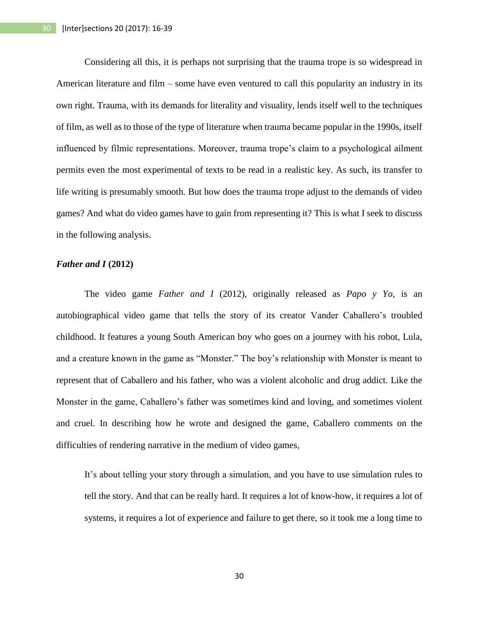Considering all this, it is perhaps not surprising that the trauma trope is so widespread in American literature and film – some have even ventured to call this popularity an industry in its own right. Trauma, with its demands for literality and visuality, lends itself well to the techniques of film, as well as to those of the type of literature when trauma became popular in the 1990s, itself influenced by filmic representations. Moreover, trauma trope's claim to a psychological ailment permits even the most experimental of texts to be read in a realistic key. As such, its transfer to life writing is presumably smooth. But how does the trauma trope adjust to the demands of video games? And what do video games have to gain from representing it? This is what I seek to discuss in the following analysis.

### *Father and I* **(2012)**

The video game *Father and I* (2012), originally released as *Papo y Yo,* is an autobiographical video game that tells the story of its creator Vander Caballero's troubled childhood. It features a young South American boy who goes on a journey with his robot, Lula, and a creature known in the game as "Monster." The boy's relationship with Monster is meant to represent that of Caballero and his father, who was a violent alcoholic and drug addict. Like the Monster in the game, Caballero's father was sometimes kind and loving, and sometimes violent and cruel. In describing how he wrote and designed the game, Caballero comments on the difficulties of rendering narrative in the medium of video games,

It's about telling your story through a simulation, and you have to use simulation rules to tell the story. And that can be really hard. It requires a lot of know-how, it requires a lot of systems, it requires a lot of experience and failure to get there, so it took me a long time to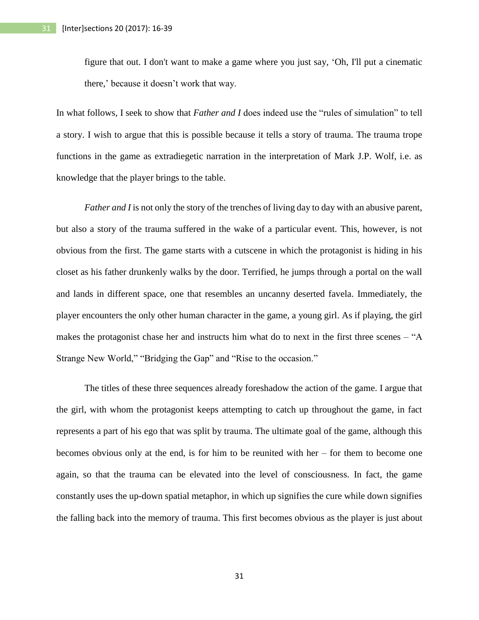figure that out. I don't want to make a game where you just say, 'Oh, I'll put a cinematic there,' because it doesn't work that way.

In what follows, I seek to show that *Father and I* does indeed use the "rules of simulation" to tell a story. I wish to argue that this is possible because it tells a story of trauma. The trauma trope functions in the game as extradiegetic narration in the interpretation of Mark J.P. Wolf, i.e. as knowledge that the player brings to the table.

*Father and I* is not only the story of the trenches of living day to day with an abusive parent, but also a story of the trauma suffered in the wake of a particular event. This, however, is not obvious from the first. The game starts with a cutscene in which the protagonist is hiding in his closet as his father drunkenly walks by the door. Terrified, he jumps through a portal on the wall and lands in different space, one that resembles an uncanny deserted favela. Immediately, the player encounters the only other human character in the game, a young girl. As if playing, the girl makes the protagonist chase her and instructs him what do to next in the first three scenes – "A Strange New World," "Bridging the Gap" and "Rise to the occasion."

The titles of these three sequences already foreshadow the action of the game. I argue that the girl, with whom the protagonist keeps attempting to catch up throughout the game, in fact represents a part of his ego that was split by trauma. The ultimate goal of the game, although this becomes obvious only at the end, is for him to be reunited with her – for them to become one again, so that the trauma can be elevated into the level of consciousness. In fact, the game constantly uses the up-down spatial metaphor, in which up signifies the cure while down signifies the falling back into the memory of trauma. This first becomes obvious as the player is just about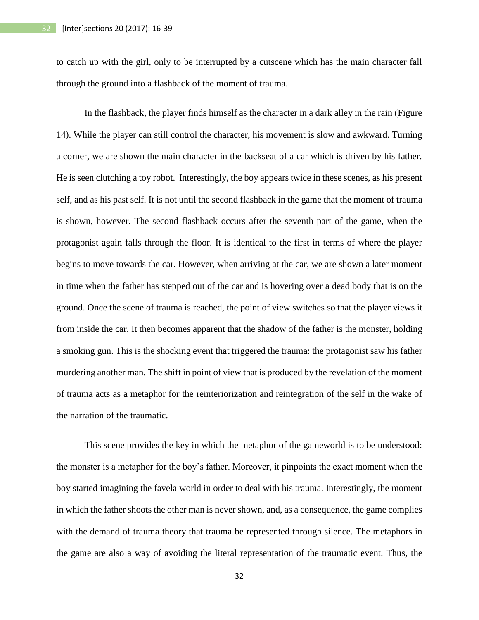to catch up with the girl, only to be interrupted by a cutscene which has the main character fall through the ground into a flashback of the moment of trauma.

In the flashback, the player finds himself as the character in a dark alley in the rain (Figure 14). While the player can still control the character, his movement is slow and awkward. Turning a corner, we are shown the main character in the backseat of a car which is driven by his father. He is seen clutching a toy robot. Interestingly, the boy appears twice in these scenes, as his present self, and as his past self. It is not until the second flashback in the game that the moment of trauma is shown, however. The second flashback occurs after the seventh part of the game, when the protagonist again falls through the floor. It is identical to the first in terms of where the player begins to move towards the car. However, when arriving at the car, we are shown a later moment in time when the father has stepped out of the car and is hovering over a dead body that is on the ground. Once the scene of trauma is reached, the point of view switches so that the player views it from inside the car. It then becomes apparent that the shadow of the father is the monster, holding a smoking gun. This is the shocking event that triggered the trauma: the protagonist saw his father murdering another man. The shift in point of view that is produced by the revelation of the moment of trauma acts as a metaphor for the reinteriorization and reintegration of the self in the wake of the narration of the traumatic.

This scene provides the key in which the metaphor of the gameworld is to be understood: the monster is a metaphor for the boy's father. Moreover, it pinpoints the exact moment when the boy started imagining the favela world in order to deal with his trauma. Interestingly, the moment in which the father shoots the other man is never shown, and, as a consequence, the game complies with the demand of trauma theory that trauma be represented through silence. The metaphors in the game are also a way of avoiding the literal representation of the traumatic event. Thus, the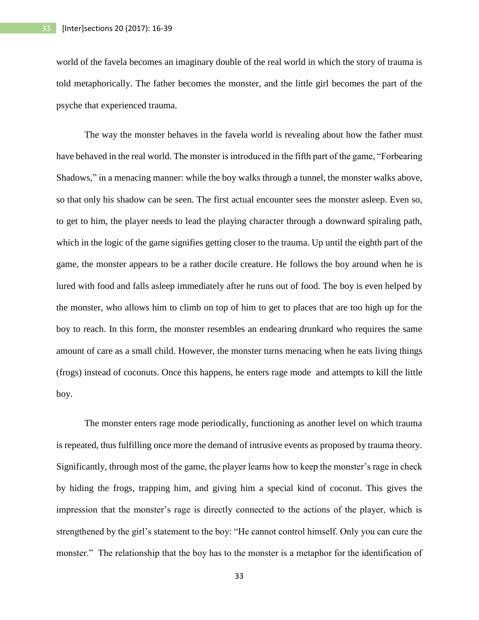world of the favela becomes an imaginary double of the real world in which the story of trauma is told metaphorically. The father becomes the monster, and the little girl becomes the part of the psyche that experienced trauma.

The way the monster behaves in the favela world is revealing about how the father must have behaved in the real world. The monster is introduced in the fifth part of the game, "Forbearing Shadows," in a menacing manner: while the boy walks through a tunnel, the monster walks above, so that only his shadow can be seen. The first actual encounter sees the monster asleep. Even so, to get to him, the player needs to lead the playing character through a downward spiraling path, which in the logic of the game signifies getting closer to the trauma. Up until the eighth part of the game, the monster appears to be a rather docile creature. He follows the boy around when he is lured with food and falls asleep immediately after he runs out of food. The boy is even helped by the monster, who allows him to climb on top of him to get to places that are too high up for the boy to reach. In this form, the monster resembles an endearing drunkard who requires the same amount of care as a small child. However, the monster turns menacing when he eats living things (frogs) instead of coconuts. Once this happens, he enters rage mode and attempts to kill the little boy.

The monster enters rage mode periodically, functioning as another level on which trauma is repeated, thus fulfilling once more the demand of intrusive events as proposed by trauma theory. Significantly, through most of the game, the player learns how to keep the monster's rage in check by hiding the frogs, trapping him, and giving him a special kind of coconut. This gives the impression that the monster's rage is directly connected to the actions of the player, which is strengthened by the girl's statement to the boy: "He cannot control himself. Only you can cure the monster." The relationship that the boy has to the monster is a metaphor for the identification of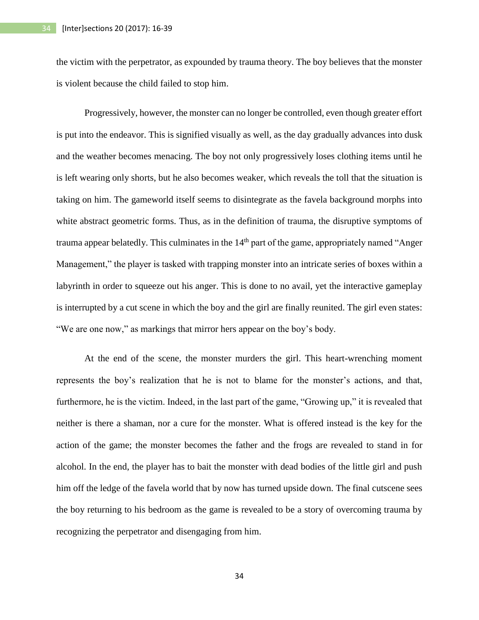the victim with the perpetrator, as expounded by trauma theory. The boy believes that the monster is violent because the child failed to stop him.

Progressively, however, the monster can no longer be controlled, even though greater effort is put into the endeavor. This is signified visually as well, as the day gradually advances into dusk and the weather becomes menacing. The boy not only progressively loses clothing items until he is left wearing only shorts, but he also becomes weaker, which reveals the toll that the situation is taking on him. The gameworld itself seems to disintegrate as the favela background morphs into white abstract geometric forms. Thus, as in the definition of trauma, the disruptive symptoms of trauma appear belatedly. This culminates in the 14<sup>th</sup> part of the game, appropriately named "Anger" Management," the player is tasked with trapping monster into an intricate series of boxes within a labyrinth in order to squeeze out his anger. This is done to no avail, yet the interactive gameplay is interrupted by a cut scene in which the boy and the girl are finally reunited. The girl even states: "We are one now," as markings that mirror hers appear on the boy's body.

At the end of the scene, the monster murders the girl. This heart-wrenching moment represents the boy's realization that he is not to blame for the monster's actions, and that, furthermore, he is the victim. Indeed, in the last part of the game, "Growing up," it is revealed that neither is there a shaman, nor a cure for the monster. What is offered instead is the key for the action of the game; the monster becomes the father and the frogs are revealed to stand in for alcohol. In the end, the player has to bait the monster with dead bodies of the little girl and push him off the ledge of the favela world that by now has turned upside down. The final cutscene sees the boy returning to his bedroom as the game is revealed to be a story of overcoming trauma by recognizing the perpetrator and disengaging from him.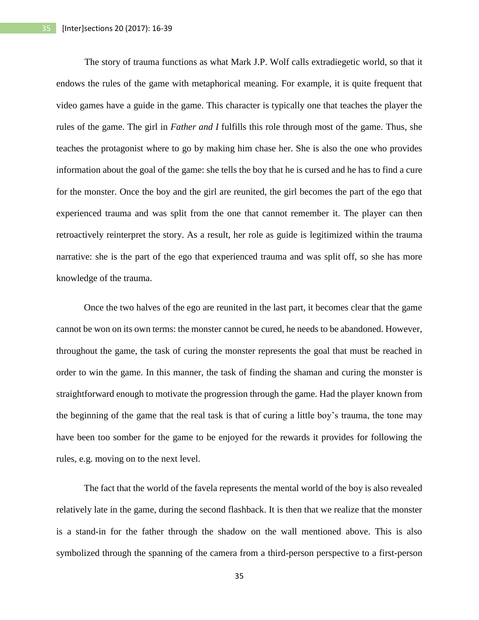The story of trauma functions as what Mark J.P. Wolf calls extradiegetic world, so that it endows the rules of the game with metaphorical meaning. For example, it is quite frequent that video games have a guide in the game. This character is typically one that teaches the player the rules of the game. The girl in *Father and I* fulfills this role through most of the game. Thus, she teaches the protagonist where to go by making him chase her. She is also the one who provides information about the goal of the game: she tells the boy that he is cursed and he has to find a cure for the monster. Once the boy and the girl are reunited, the girl becomes the part of the ego that experienced trauma and was split from the one that cannot remember it. The player can then retroactively reinterpret the story. As a result, her role as guide is legitimized within the trauma narrative: she is the part of the ego that experienced trauma and was split off, so she has more knowledge of the trauma.

Once the two halves of the ego are reunited in the last part, it becomes clear that the game cannot be won on its own terms: the monster cannot be cured, he needs to be abandoned. However, throughout the game, the task of curing the monster represents the goal that must be reached in order to win the game. In this manner, the task of finding the shaman and curing the monster is straightforward enough to motivate the progression through the game. Had the player known from the beginning of the game that the real task is that of curing a little boy's trauma, the tone may have been too somber for the game to be enjoyed for the rewards it provides for following the rules, e.g. moving on to the next level.

The fact that the world of the favela represents the mental world of the boy is also revealed relatively late in the game, during the second flashback. It is then that we realize that the monster is a stand-in for the father through the shadow on the wall mentioned above. This is also symbolized through the spanning of the camera from a third-person perspective to a first-person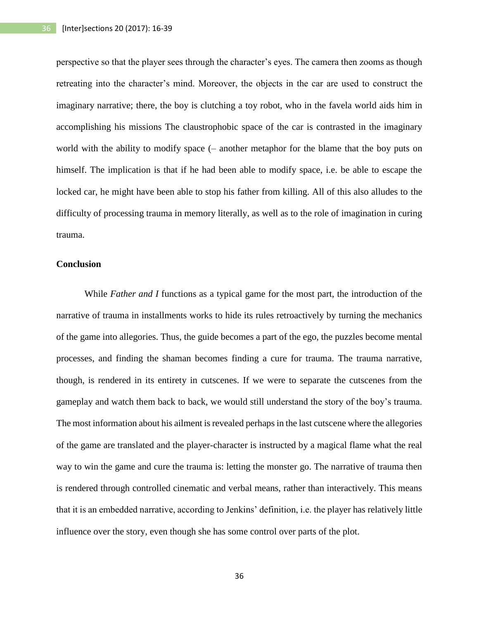perspective so that the player sees through the character's eyes. The camera then zooms as though retreating into the character's mind. Moreover, the objects in the car are used to construct the imaginary narrative; there, the boy is clutching a toy robot, who in the favela world aids him in accomplishing his missions The claustrophobic space of the car is contrasted in the imaginary world with the ability to modify space (– another metaphor for the blame that the boy puts on himself. The implication is that if he had been able to modify space, i.e. be able to escape the locked car, he might have been able to stop his father from killing. All of this also alludes to the difficulty of processing trauma in memory literally, as well as to the role of imagination in curing trauma.

## **Conclusion**

While *Father and I* functions as a typical game for the most part, the introduction of the narrative of trauma in installments works to hide its rules retroactively by turning the mechanics of the game into allegories. Thus, the guide becomes a part of the ego, the puzzles become mental processes, and finding the shaman becomes finding a cure for trauma. The trauma narrative, though, is rendered in its entirety in cutscenes. If we were to separate the cutscenes from the gameplay and watch them back to back, we would still understand the story of the boy's trauma. The most information about his ailment is revealed perhaps in the last cutscene where the allegories of the game are translated and the player-character is instructed by a magical flame what the real way to win the game and cure the trauma is: letting the monster go. The narrative of trauma then is rendered through controlled cinematic and verbal means, rather than interactively. This means that it is an embedded narrative, according to Jenkins' definition, i.e. the player has relatively little influence over the story, even though she has some control over parts of the plot.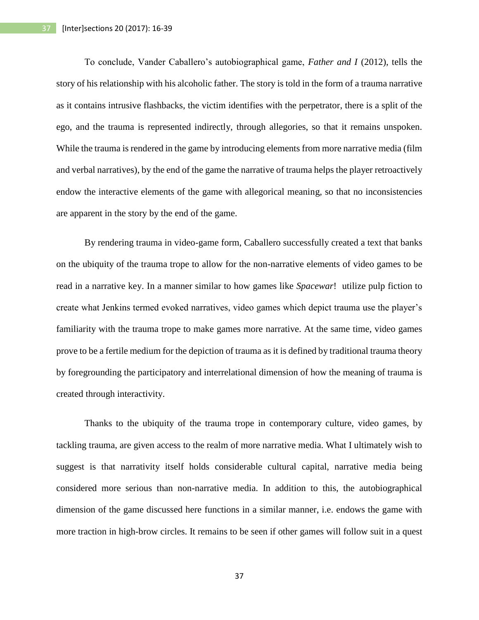To conclude, Vander Caballero's autobiographical game, *Father and I* (2012), tells the story of his relationship with his alcoholic father. The story is told in the form of a trauma narrative as it contains intrusive flashbacks, the victim identifies with the perpetrator, there is a split of the ego, and the trauma is represented indirectly, through allegories, so that it remains unspoken. While the trauma is rendered in the game by introducing elements from more narrative media (film and verbal narratives), by the end of the game the narrative of trauma helps the player retroactively endow the interactive elements of the game with allegorical meaning, so that no inconsistencies are apparent in the story by the end of the game.

By rendering trauma in video-game form, Caballero successfully created a text that banks on the ubiquity of the trauma trope to allow for the non-narrative elements of video games to be read in a narrative key. In a manner similar to how games like *Spacewar*! utilize pulp fiction to create what Jenkins termed evoked narratives, video games which depict trauma use the player's familiarity with the trauma trope to make games more narrative. At the same time, video games prove to be a fertile medium for the depiction of trauma as it is defined by traditional trauma theory by foregrounding the participatory and interrelational dimension of how the meaning of trauma is created through interactivity.

Thanks to the ubiquity of the trauma trope in contemporary culture, video games, by tackling trauma, are given access to the realm of more narrative media. What I ultimately wish to suggest is that narrativity itself holds considerable cultural capital, narrative media being considered more serious than non-narrative media. In addition to this, the autobiographical dimension of the game discussed here functions in a similar manner, i.e. endows the game with more traction in high-brow circles. It remains to be seen if other games will follow suit in a quest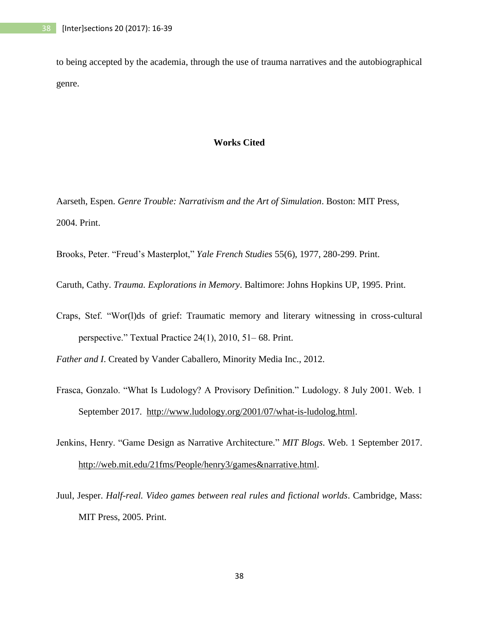to being accepted by the academia, through the use of trauma narratives and the autobiographical genre.

#### **Works Cited**

Aarseth, Espen. *Genre Trouble: Narrativism and the Art of Simulation*. Boston: MIT Press, 2004. Print.

Brooks, Peter. "Freud's Masterplot," *Yale French Studies* 55(6), 1977, 280-299. Print.

Caruth, Cathy. *Trauma. Explorations in Memory*. Baltimore: Johns Hopkins UP, 1995. Print.

Craps, Stef. "Wor(l)ds of grief: Traumatic memory and literary witnessing in cross-cultural perspective." Textual Practice 24(1), 2010, 51– 68. Print.

*Father and I*. Created by Vander Caballero, Minority Media Inc., 2012.

- Frasca, Gonzalo. "What Is Ludology? A Provisory Definition." Ludology. 8 July 2001. Web. 1 September 2017. [http://www.ludology.org/2001/07/what-is-ludolog.html.](http://www.ludology.org/2001/07/what-is-ludolog.html)
- Jenkins, Henry. "Game Design as Narrative Architecture." *MIT Blogs*. Web. 1 September 2017. [http://web.mit.edu/21fms/People/henry3/games&narrative.html.](http://web.mit.edu/21fms/People/henry3/games&narrative.html)
- Juul, Jesper. *Half-real. Video games between real rules and fictional worlds*. Cambridge, Mass: MIT Press, 2005. Print.